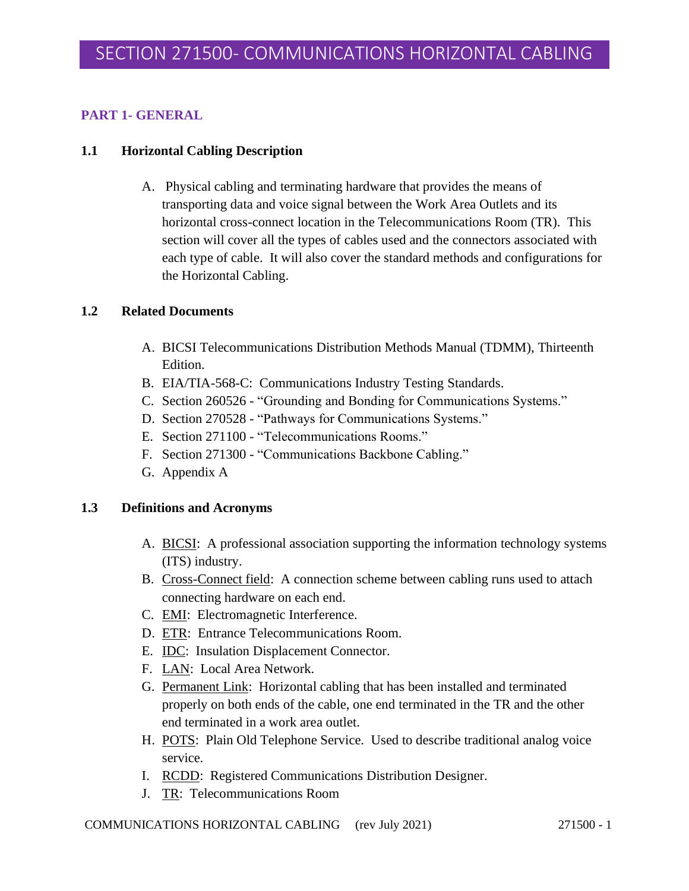# **PART 1- GENERAL**

## **1.1 Horizontal Cabling Description**

A. Physical cabling and terminating hardware that provides the means of transporting data and voice signal between the Work Area Outlets and its horizontal cross-connect location in the Telecommunications Room (TR). This section will cover all the types of cables used and the connectors associated with each type of cable. It will also cover the standard methods and configurations for the Horizontal Cabling.

## **1.2 Related Documents**

- A. BICSI Telecommunications Distribution Methods Manual (TDMM), Thirteenth Edition.
- B. EIA/TIA-568-C: Communications Industry Testing Standards.
- C. Section 260526 "Grounding and Bonding for Communications Systems."
- D. Section 270528 "Pathways for Communications Systems."
- E. Section 271100 "Telecommunications Rooms."
- F. Section 271300 "Communications Backbone Cabling."
- G. Appendix A

### **1.3 Definitions and Acronyms**

- A. BICSI: A professional association supporting the information technology systems (ITS) industry.
- B. Cross-Connect field: A connection scheme between cabling runs used to attach connecting hardware on each end.
- C. EMI: Electromagnetic Interference.
- D. ETR: Entrance Telecommunications Room.
- E. IDC: Insulation Displacement Connector.
- F. LAN: Local Area Network.
- G. Permanent Link: Horizontal cabling that has been installed and terminated properly on both ends of the cable, one end terminated in the TR and the other end terminated in a work area outlet.
- H. POTS: Plain Old Telephone Service. Used to describe traditional analog voice service.
- I. RCDD: Registered Communications Distribution Designer.
- J. TR: Telecommunications Room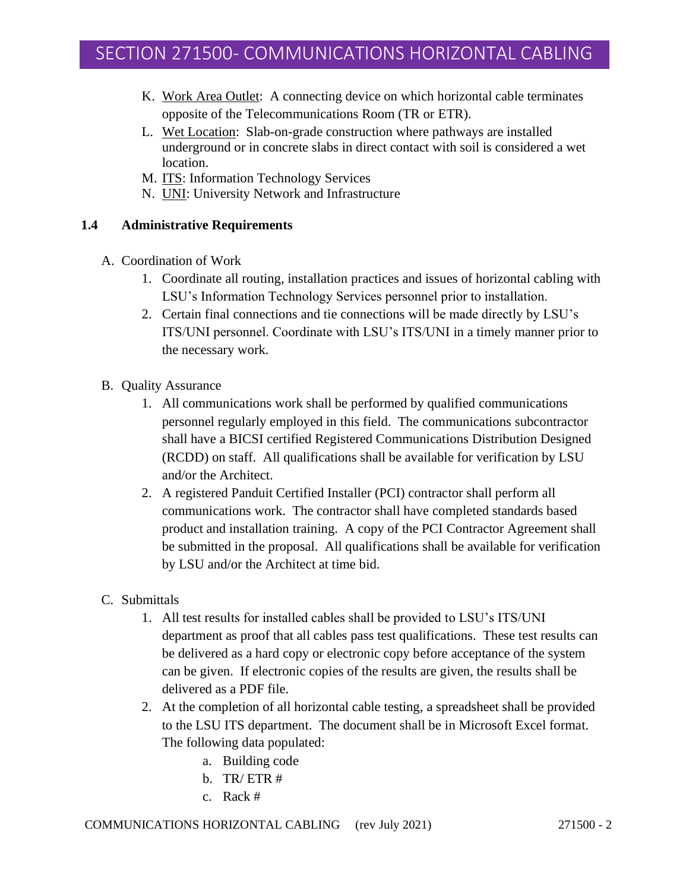- K. Work Area Outlet: A connecting device on which horizontal cable terminates opposite of the Telecommunications Room (TR or ETR).
- L. Wet Location: Slab-on-grade construction where pathways are installed underground or in concrete slabs in direct contact with soil is considered a wet location.
- M. ITS: Information Technology Services
- N. UNI: University Network and Infrastructure

## **1.4 Administrative Requirements**

- A. Coordination of Work
	- 1. Coordinate all routing, installation practices and issues of horizontal cabling with LSU's Information Technology Services personnel prior to installation.
	- 2. Certain final connections and tie connections will be made directly by LSU's ITS/UNI personnel. Coordinate with LSU's ITS/UNI in a timely manner prior to the necessary work.
- B. Quality Assurance
	- 1. All communications work shall be performed by qualified communications personnel regularly employed in this field. The communications subcontractor shall have a BICSI certified Registered Communications Distribution Designed (RCDD) on staff. All qualifications shall be available for verification by LSU and/or the Architect.
	- 2. A registered Panduit Certified Installer (PCI) contractor shall perform all communications work. The contractor shall have completed standards based product and installation training. A copy of the PCI Contractor Agreement shall be submitted in the proposal. All qualifications shall be available for verification by LSU and/or the Architect at time bid.
- C. Submittals
	- 1. All test results for installed cables shall be provided to LSU's ITS/UNI department as proof that all cables pass test qualifications. These test results can be delivered as a hard copy or electronic copy before acceptance of the system can be given. If electronic copies of the results are given, the results shall be delivered as a PDF file.
	- 2. At the completion of all horizontal cable testing, a spreadsheet shall be provided to the LSU ITS department. The document shall be in Microsoft Excel format. The following data populated:
		- a. Building code
		- b. TR/ ETR #
		- c. Rack #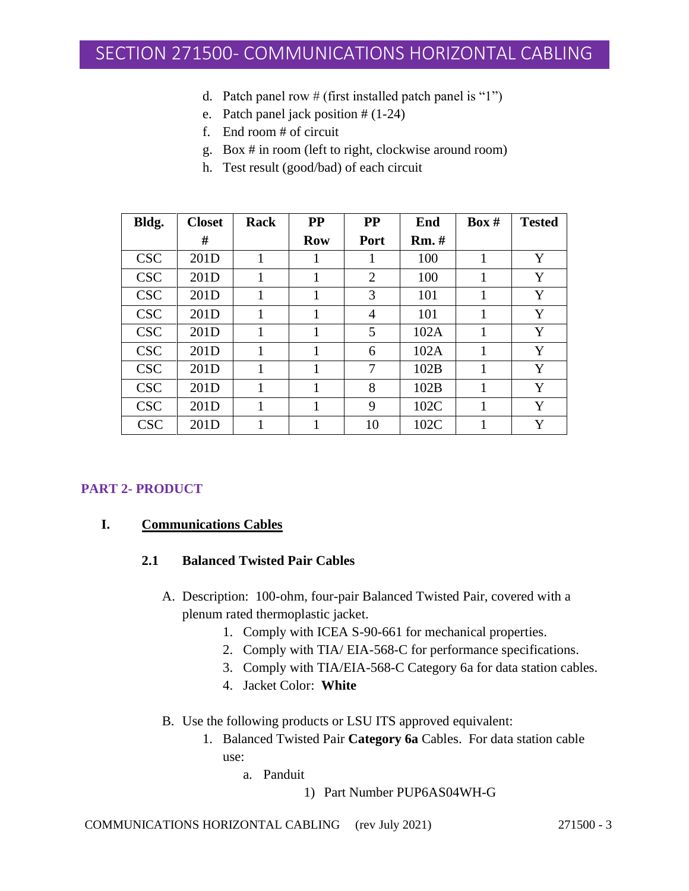- d. Patch panel row # (first installed patch panel is "1")
- e. Patch panel jack position # (1-24)
- f. End room # of circuit
- g. Box # in room (left to right, clockwise around room)
- h. Test result (good/bad) of each circuit

| Bldg.      | <b>Closet</b> | Rack | <b>PP</b>  | <b>PP</b>      | End          | Box # | <b>Tested</b> |
|------------|---------------|------|------------|----------------|--------------|-------|---------------|
|            | #             |      | <b>Row</b> | Port           | <b>Rm.</b> # |       |               |
| <b>CSC</b> | 201D          | 1    | 1          | 1              | 100          | 1     | Y             |
| <b>CSC</b> | 201D          |      | 1          | $\overline{2}$ | 100          | 1     | Y             |
| <b>CSC</b> | 201D          | 1    | 1          | 3              | 101          | 1     | Y             |
| <b>CSC</b> | 201D          |      |            | 4              | 101          |       | Y             |
| <b>CSC</b> | 201D          |      | 1          | 5              | 102A         |       | Y             |
| <b>CSC</b> | 201D          |      | 1          | 6              | 102A         |       | Y             |
| <b>CSC</b> | 201D          |      | 1          | 7              | 102B         | 1     | Y             |
| <b>CSC</b> | 201D          |      | 1          | 8              | 102B         | 1     | Y             |
| <b>CSC</b> | 201D          |      | 1          | 9              | 102C         | 1     | Y             |
| <b>CSC</b> | 201D          |      | 1          | 10             | 102C         |       | Y             |

# **PART 2- PRODUCT**

### **I. Communications Cables**

### **2.1 Balanced Twisted Pair Cables**

- A. Description: 100-ohm, four-pair Balanced Twisted Pair, covered with a plenum rated thermoplastic jacket.
	- 1. Comply with ICEA S-90-661 for mechanical properties.
	- 2. Comply with TIA/ EIA-568-C for performance specifications.
	- 3. Comply with TIA/EIA-568-C Category 6a for data station cables.
	- 4. Jacket Color: **White**
- B. Use the following products or LSU ITS approved equivalent:
	- 1. Balanced Twisted Pair **Category 6a** Cables. For data station cable use:
		- a. Panduit
			- 1) Part Number PUP6AS04WH-G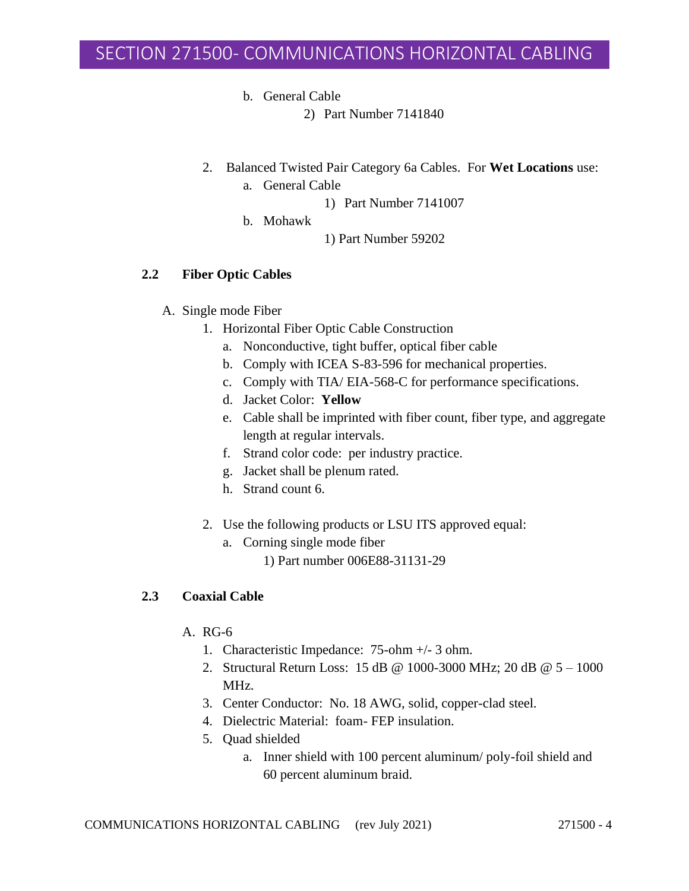b. General Cable

2) Part Number 7141840

- 2. Balanced Twisted Pair Category 6a Cables. For **Wet Locations** use:
	- a. General Cable
		- 1) Part Number 7141007
	- b. Mohawk
- 1) Part Number 59202

## **2.2 Fiber Optic Cables**

- A. Single mode Fiber
	- 1. Horizontal Fiber Optic Cable Construction
		- a. Nonconductive, tight buffer, optical fiber cable
		- b. Comply with ICEA S-83-596 for mechanical properties.
		- c. Comply with TIA/ EIA-568-C for performance specifications.
		- d. Jacket Color: **Yellow**
		- e. Cable shall be imprinted with fiber count, fiber type, and aggregate length at regular intervals.
		- f. Strand color code: per industry practice.
		- g. Jacket shall be plenum rated.
		- h. Strand count 6.
	- 2. Use the following products or LSU ITS approved equal:
		- a. Corning single mode fiber
			- 1) Part number 006E88-31131-29

# **2.3 Coaxial Cable**

## A. RG-6

- 1. Characteristic Impedance: 75-ohm +/- 3 ohm.
- 2. Structural Return Loss: 15 dB @ 1000-3000 MHz; 20 dB @ 5 1000 MHz.
- 3. Center Conductor: No. 18 AWG, solid, copper-clad steel.
- 4. Dielectric Material: foam- FEP insulation.
- 5. Quad shielded
	- a. Inner shield with 100 percent aluminum/ poly-foil shield and 60 percent aluminum braid.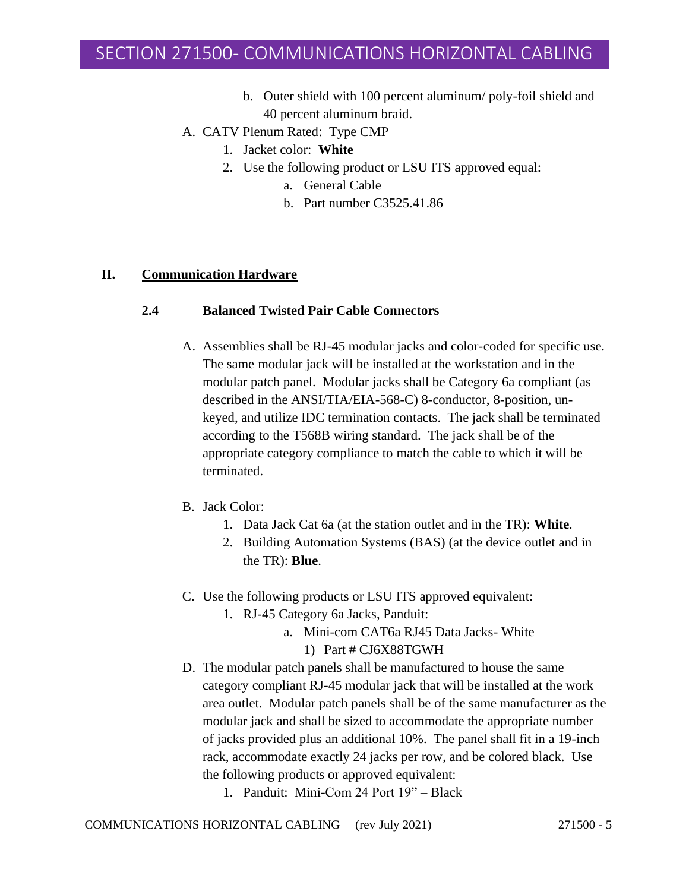- b. Outer shield with 100 percent aluminum/ poly-foil shield and 40 percent aluminum braid.
- A. CATV Plenum Rated: Type CMP
	- 1. Jacket color: **White**
	- 2. Use the following product or LSU ITS approved equal:
		- a. General Cable
		- b. Part number C3525.41.86

### **II. Communication Hardware**

# **2.4 Balanced Twisted Pair Cable Connectors**

- A. Assemblies shall be RJ-45 modular jacks and color-coded for specific use. The same modular jack will be installed at the workstation and in the modular patch panel. Modular jacks shall be Category 6a compliant (as described in the ANSI/TIA/EIA-568-C) 8-conductor, 8-position, unkeyed, and utilize IDC termination contacts. The jack shall be terminated according to the T568B wiring standard. The jack shall be of the appropriate category compliance to match the cable to which it will be terminated.
- B. Jack Color:
	- 1. Data Jack Cat 6a (at the station outlet and in the TR): **White**.
	- 2. Building Automation Systems (BAS) (at the device outlet and in the TR): **Blue**.
- C. Use the following products or LSU ITS approved equivalent:
	- 1. RJ-45 Category 6a Jacks, Panduit:
		- a. Mini-com CAT6a RJ45 Data Jacks- White
			- 1) Part # CJ6X88TGWH
- D. The modular patch panels shall be manufactured to house the same category compliant RJ-45 modular jack that will be installed at the work area outlet. Modular patch panels shall be of the same manufacturer as the modular jack and shall be sized to accommodate the appropriate number of jacks provided plus an additional 10%. The panel shall fit in a 19-inch rack, accommodate exactly 24 jacks per row, and be colored black. Use the following products or approved equivalent:
	- 1. Panduit: Mini-Com 24 Port 19" Black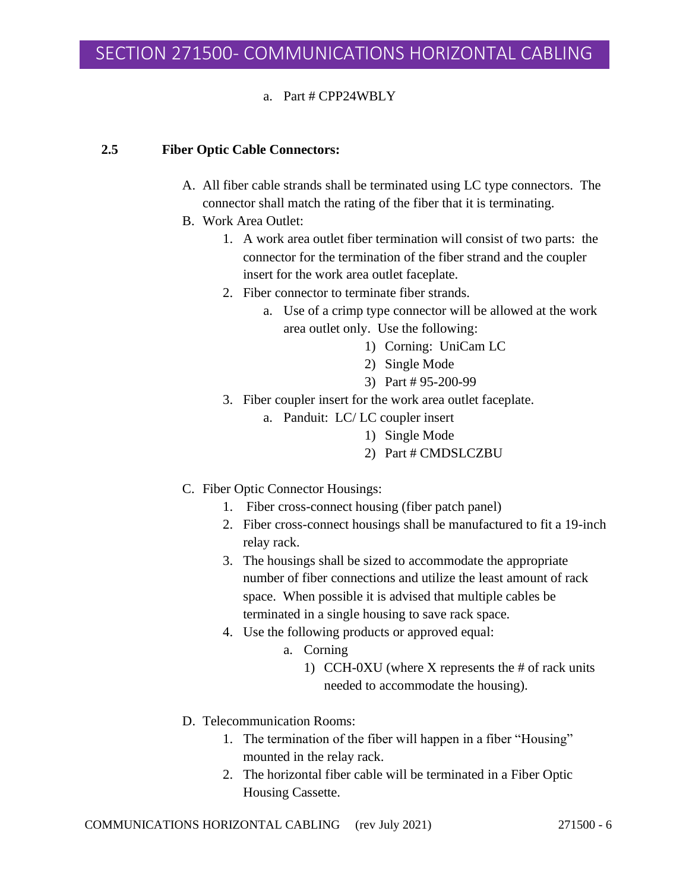### a. Part # CPP24WBLY

### **2.5 Fiber Optic Cable Connectors:**

- A. All fiber cable strands shall be terminated using LC type connectors. The connector shall match the rating of the fiber that it is terminating.
- B. Work Area Outlet:
	- 1. A work area outlet fiber termination will consist of two parts: the connector for the termination of the fiber strand and the coupler insert for the work area outlet faceplate.
	- 2. Fiber connector to terminate fiber strands.
		- a. Use of a crimp type connector will be allowed at the work area outlet only. Use the following:
			- 1) Corning: UniCam LC
			- 2) Single Mode
			- 3) Part # 95-200-99
	- 3. Fiber coupler insert for the work area outlet faceplate.
		- a. Panduit: LC/ LC coupler insert
			- 1) Single Mode
			- 2) Part # CMDSLCZBU
- C. Fiber Optic Connector Housings:
	- 1. Fiber cross-connect housing (fiber patch panel)
	- 2. Fiber cross-connect housings shall be manufactured to fit a 19-inch relay rack.
	- 3. The housings shall be sized to accommodate the appropriate number of fiber connections and utilize the least amount of rack space. When possible it is advised that multiple cables be terminated in a single housing to save rack space.
	- 4. Use the following products or approved equal:
		- a. Corning
			- 1) CCH-0XU (where X represents the # of rack units needed to accommodate the housing).
- D. Telecommunication Rooms:
	- 1. The termination of the fiber will happen in a fiber "Housing" mounted in the relay rack.
	- 2. The horizontal fiber cable will be terminated in a Fiber Optic Housing Cassette.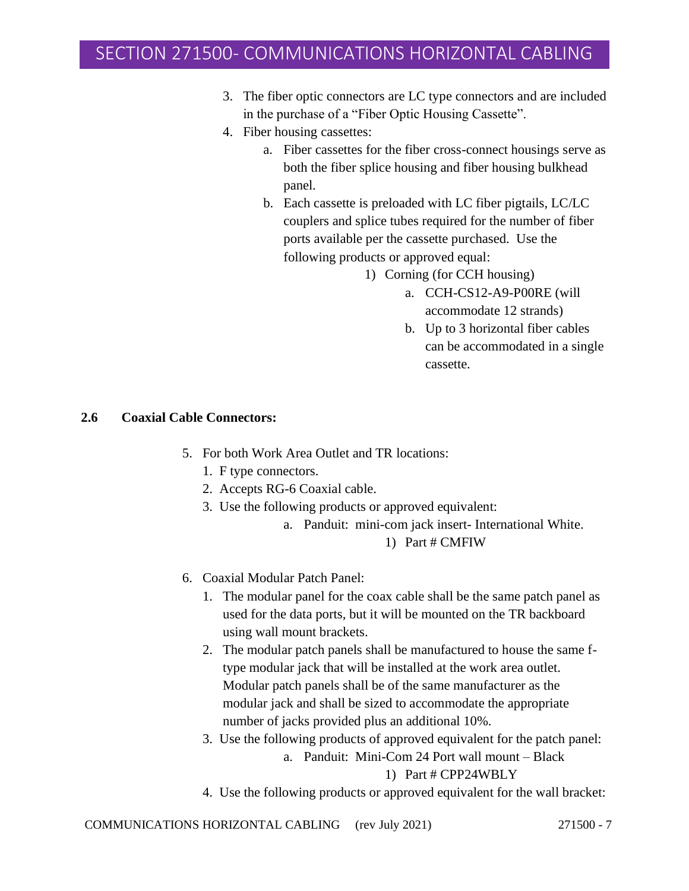- 3. The fiber optic connectors are LC type connectors and are included in the purchase of a "Fiber Optic Housing Cassette".
- 4. Fiber housing cassettes:
	- a. Fiber cassettes for the fiber cross-connect housings serve as both the fiber splice housing and fiber housing bulkhead panel.
	- b. Each cassette is preloaded with LC fiber pigtails, LC/LC couplers and splice tubes required for the number of fiber ports available per the cassette purchased. Use the following products or approved equal:
		- 1) Corning (for CCH housing)
			- a. CCH-CS12-A9-P00RE (will accommodate 12 strands)
			- b. Up to 3 horizontal fiber cables can be accommodated in a single cassette.

#### **2.6 Coaxial Cable Connectors:**

- 5. For both Work Area Outlet and TR locations:
	- 1. F type connectors.
	- 2. Accepts RG-6 Coaxial cable.
	- 3. Use the following products or approved equivalent:
		- a. Panduit: mini-com jack insert- International White.

#### 1) Part # CMFIW

- 6. Coaxial Modular Patch Panel:
	- 1. The modular panel for the coax cable shall be the same patch panel as used for the data ports, but it will be mounted on the TR backboard using wall mount brackets.
	- 2. The modular patch panels shall be manufactured to house the same ftype modular jack that will be installed at the work area outlet. Modular patch panels shall be of the same manufacturer as the modular jack and shall be sized to accommodate the appropriate number of jacks provided plus an additional 10%.
	- 3. Use the following products of approved equivalent for the patch panel:
		- a. Panduit: Mini-Com 24 Port wall mount Black

### 1) Part # CPP24WBLY

4. Use the following products or approved equivalent for the wall bracket: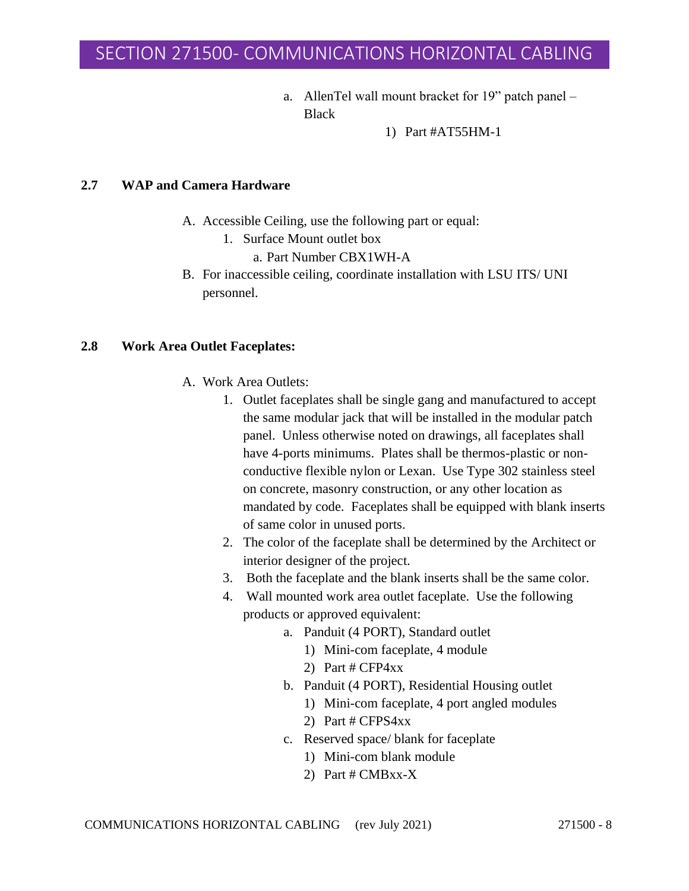a. AllenTel wall mount bracket for 19" patch panel – **Black** 

1) Part #AT55HM-1

### **2.7 WAP and Camera Hardware**

- A. Accessible Ceiling, use the following part or equal:
	- 1. Surface Mount outlet box
		- a. Part Number CBX1WH-A
- B. For inaccessible ceiling, coordinate installation with LSU ITS/ UNI personnel.

#### **2.8 Work Area Outlet Faceplates:**

- A. Work Area Outlets:
	- 1. Outlet faceplates shall be single gang and manufactured to accept the same modular jack that will be installed in the modular patch panel. Unless otherwise noted on drawings, all faceplates shall have 4-ports minimums. Plates shall be thermos-plastic or nonconductive flexible nylon or Lexan. Use Type 302 stainless steel on concrete, masonry construction, or any other location as mandated by code. Faceplates shall be equipped with blank inserts of same color in unused ports.
	- 2. The color of the faceplate shall be determined by the Architect or interior designer of the project.
	- 3. Both the faceplate and the blank inserts shall be the same color.
	- 4. Wall mounted work area outlet faceplate. Use the following products or approved equivalent:
		- a. Panduit (4 PORT), Standard outlet
			- 1) Mini-com faceplate, 4 module
			- 2) Part # CFP4xx
		- b. Panduit (4 PORT), Residential Housing outlet
			- 1) Mini-com faceplate, 4 port angled modules
			- 2) Part # CFPS4xx
		- c. Reserved space/ blank for faceplate
			- 1) Mini-com blank module
			- 2) Part # CMBxx-X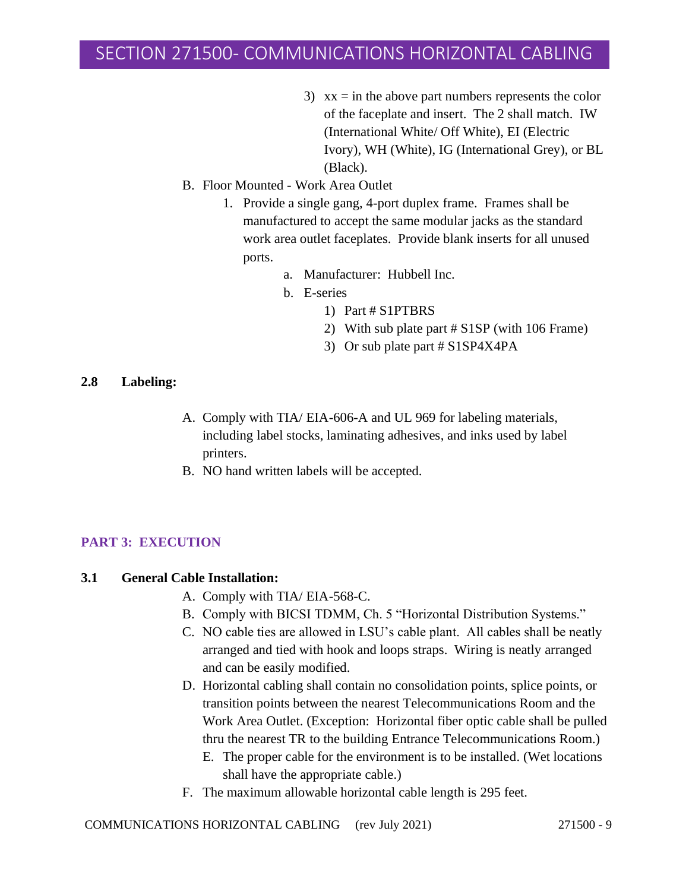- 3)  $xx = in$  the above part numbers represents the color of the faceplate and insert. The 2 shall match. IW (International White/ Off White), EI (Electric Ivory), WH (White), IG (International Grey), or BL (Black).
- B. Floor Mounted Work Area Outlet
	- 1. Provide a single gang, 4-port duplex frame. Frames shall be manufactured to accept the same modular jacks as the standard work area outlet faceplates. Provide blank inserts for all unused ports.
		- a. Manufacturer: Hubbell Inc.
		- b. E-series
			- 1) Part # S1PTBRS
			- 2) With sub plate part # S1SP (with 106 Frame)
			- 3) Or sub plate part # S1SP4X4PA

#### **2.8 Labeling:**

- A. Comply with TIA/ EIA-606-A and UL 969 for labeling materials, including label stocks, laminating adhesives, and inks used by label printers.
- B. NO hand written labels will be accepted.

### **PART 3: EXECUTION**

### **3.1 General Cable Installation:**

- A. Comply with TIA/ EIA-568-C.
- B. Comply with BICSI TDMM, Ch. 5 "Horizontal Distribution Systems."
- C. NO cable ties are allowed in LSU's cable plant. All cables shall be neatly arranged and tied with hook and loops straps. Wiring is neatly arranged and can be easily modified.
- D. Horizontal cabling shall contain no consolidation points, splice points, or transition points between the nearest Telecommunications Room and the Work Area Outlet. (Exception: Horizontal fiber optic cable shall be pulled thru the nearest TR to the building Entrance Telecommunications Room.)
	- E. The proper cable for the environment is to be installed. (Wet locations shall have the appropriate cable.)
- F. The maximum allowable horizontal cable length is 295 feet.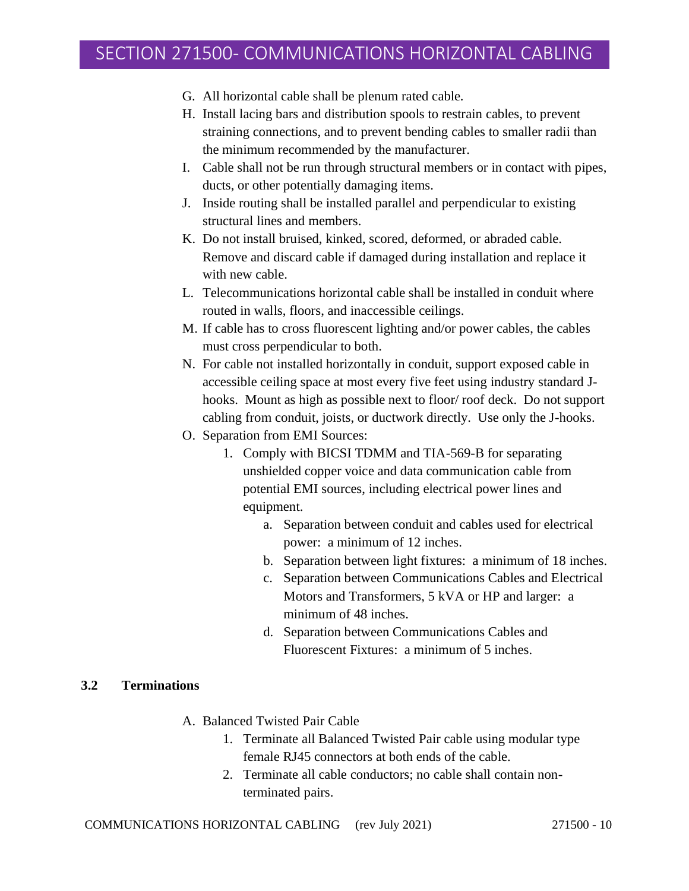- G. All horizontal cable shall be plenum rated cable.
- H. Install lacing bars and distribution spools to restrain cables, to prevent straining connections, and to prevent bending cables to smaller radii than the minimum recommended by the manufacturer.
- I. Cable shall not be run through structural members or in contact with pipes, ducts, or other potentially damaging items.
- J. Inside routing shall be installed parallel and perpendicular to existing structural lines and members.
- K. Do not install bruised, kinked, scored, deformed, or abraded cable. Remove and discard cable if damaged during installation and replace it with new cable.
- L. Telecommunications horizontal cable shall be installed in conduit where routed in walls, floors, and inaccessible ceilings.
- M. If cable has to cross fluorescent lighting and/or power cables, the cables must cross perpendicular to both.
- N. For cable not installed horizontally in conduit, support exposed cable in accessible ceiling space at most every five feet using industry standard Jhooks. Mount as high as possible next to floor/ roof deck. Do not support cabling from conduit, joists, or ductwork directly. Use only the J-hooks.
- O. Separation from EMI Sources:
	- 1. Comply with BICSI TDMM and TIA-569-B for separating unshielded copper voice and data communication cable from potential EMI sources, including electrical power lines and equipment.
		- a. Separation between conduit and cables used for electrical power: a minimum of 12 inches.
		- b. Separation between light fixtures: a minimum of 18 inches.
		- c. Separation between Communications Cables and Electrical Motors and Transformers, 5 kVA or HP and larger: a minimum of 48 inches.
		- d. Separation between Communications Cables and Fluorescent Fixtures: a minimum of 5 inches.

#### **3.2 Terminations**

- A. Balanced Twisted Pair Cable
	- 1. Terminate all Balanced Twisted Pair cable using modular type female RJ45 connectors at both ends of the cable.
	- 2. Terminate all cable conductors; no cable shall contain nonterminated pairs.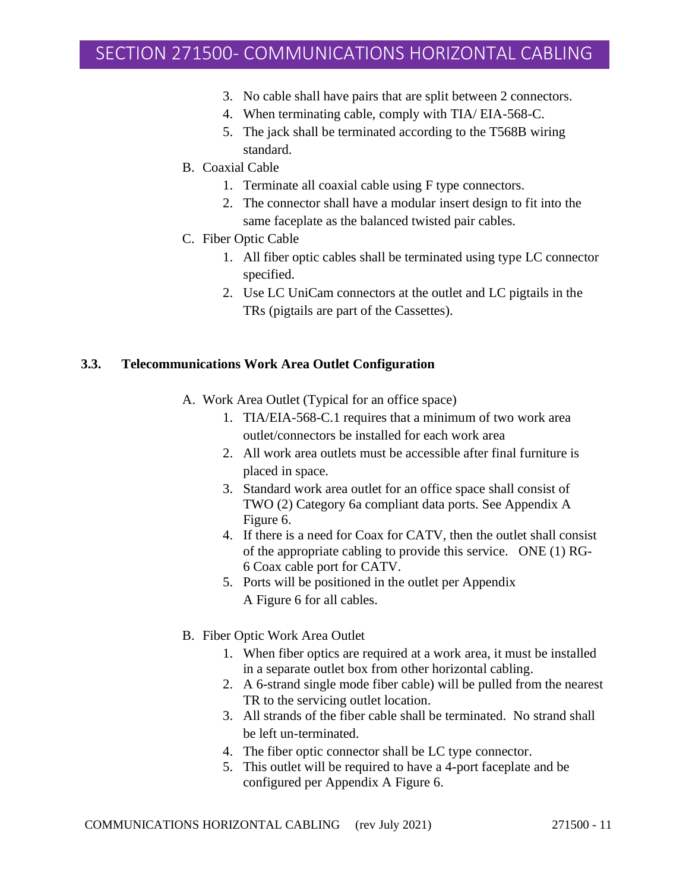- 3. No cable shall have pairs that are split between 2 connectors.
- 4. When terminating cable, comply with TIA/ EIA-568-C.
- 5. The jack shall be terminated according to the T568B wiring standard.
- B. Coaxial Cable
	- 1. Terminate all coaxial cable using F type connectors.
	- 2. The connector shall have a modular insert design to fit into the same faceplate as the balanced twisted pair cables.
- C. Fiber Optic Cable
	- 1. All fiber optic cables shall be terminated using type LC connector specified.
	- 2. Use LC UniCam connectors at the outlet and LC pigtails in the TRs (pigtails are part of the Cassettes).

#### **3.3. Telecommunications Work Area Outlet Configuration**

- A. Work Area Outlet (Typical for an office space)
	- 1. TIA/EIA-568-C.1 requires that a minimum of two work area outlet/connectors be installed for each work area
	- 2. All work area outlets must be accessible after final furniture is placed in space.
	- 3. Standard work area outlet for an office space shall consist of TWO (2) Category 6a compliant data ports. See Appendix A Figure 6.
	- 4. If there is a need for Coax for CATV, then the outlet shall consist of the appropriate cabling to provide this service. ONE (1) RG-6 Coax cable port for CATV.
	- 5. Ports will be positioned in the outlet per Appendix A Figure 6 for all cables.
- B. Fiber Optic Work Area Outlet
	- 1. When fiber optics are required at a work area, it must be installed in a separate outlet box from other horizontal cabling.
	- 2. A 6-strand single mode fiber cable) will be pulled from the nearest TR to the servicing outlet location.
	- 3. All strands of the fiber cable shall be terminated. No strand shall be left un-terminated.
	- 4. The fiber optic connector shall be LC type connector.
	- 5. This outlet will be required to have a 4-port faceplate and be configured per Appendix A Figure 6.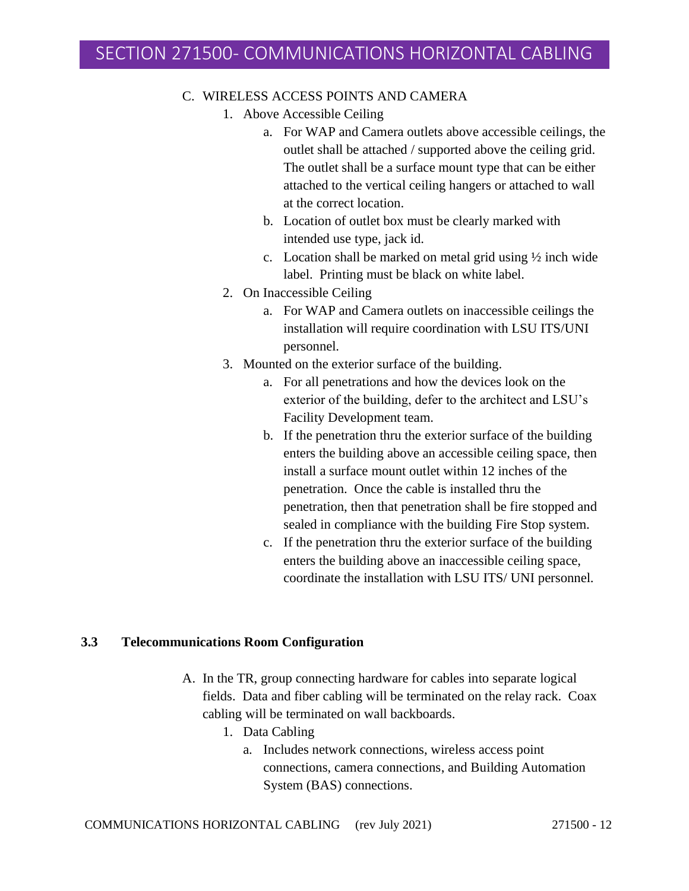### C. WIRELESS ACCESS POINTS AND CAMERA

- 1. Above Accessible Ceiling
	- a. For WAP and Camera outlets above accessible ceilings, the outlet shall be attached / supported above the ceiling grid. The outlet shall be a surface mount type that can be either attached to the vertical ceiling hangers or attached to wall at the correct location.
	- b. Location of outlet box must be clearly marked with intended use type, jack id.
	- c. Location shall be marked on metal grid using  $\frac{1}{2}$  inch wide label. Printing must be black on white label.
- 2. On Inaccessible Ceiling
	- a. For WAP and Camera outlets on inaccessible ceilings the installation will require coordination with LSU ITS/UNI personnel.
- 3. Mounted on the exterior surface of the building.
	- a. For all penetrations and how the devices look on the exterior of the building, defer to the architect and LSU's Facility Development team.
	- b. If the penetration thru the exterior surface of the building enters the building above an accessible ceiling space, then install a surface mount outlet within 12 inches of the penetration. Once the cable is installed thru the penetration, then that penetration shall be fire stopped and sealed in compliance with the building Fire Stop system.
	- c. If the penetration thru the exterior surface of the building enters the building above an inaccessible ceiling space, coordinate the installation with LSU ITS/ UNI personnel.

#### **3.3 Telecommunications Room Configuration**

- A. In the TR, group connecting hardware for cables into separate logical fields. Data and fiber cabling will be terminated on the relay rack. Coax cabling will be terminated on wall backboards.
	- 1. Data Cabling
		- a. Includes network connections, wireless access point connections, camera connections, and Building Automation System (BAS) connections.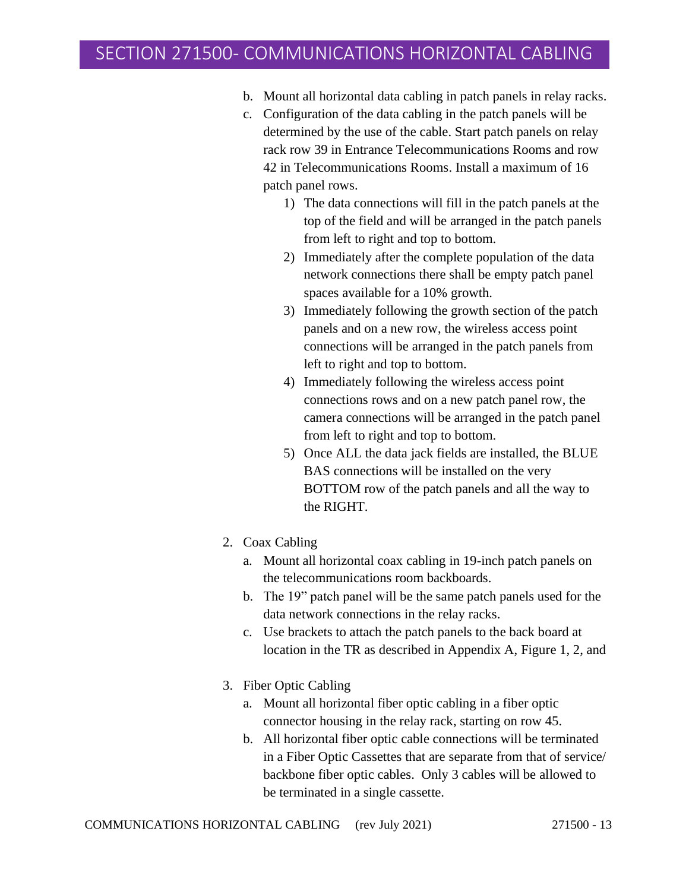- b. Mount all horizontal data cabling in patch panels in relay racks.
- c. Configuration of the data cabling in the patch panels will be determined by the use of the cable. Start patch panels on relay rack row 39 in Entrance Telecommunications Rooms and row 42 in Telecommunications Rooms. Install a maximum of 16 patch panel rows.
	- 1) The data connections will fill in the patch panels at the top of the field and will be arranged in the patch panels from left to right and top to bottom.
	- 2) Immediately after the complete population of the data network connections there shall be empty patch panel spaces available for a 10% growth.
	- 3) Immediately following the growth section of the patch panels and on a new row, the wireless access point connections will be arranged in the patch panels from left to right and top to bottom.
	- 4) Immediately following the wireless access point connections rows and on a new patch panel row, the camera connections will be arranged in the patch panel from left to right and top to bottom.
	- 5) Once ALL the data jack fields are installed, the BLUE BAS connections will be installed on the very BOTTOM row of the patch panels and all the way to the RIGHT.
- 2. Coax Cabling
	- a. Mount all horizontal coax cabling in 19-inch patch panels on the telecommunications room backboards.
	- b. The 19" patch panel will be the same patch panels used for the data network connections in the relay racks.
	- c. Use brackets to attach the patch panels to the back board at location in the TR as described in Appendix A, Figure 1, 2, and
- 3. Fiber Optic Cabling
	- a. Mount all horizontal fiber optic cabling in a fiber optic connector housing in the relay rack, starting on row 45.
	- b. All horizontal fiber optic cable connections will be terminated in a Fiber Optic Cassettes that are separate from that of service/ backbone fiber optic cables. Only 3 cables will be allowed to be terminated in a single cassette.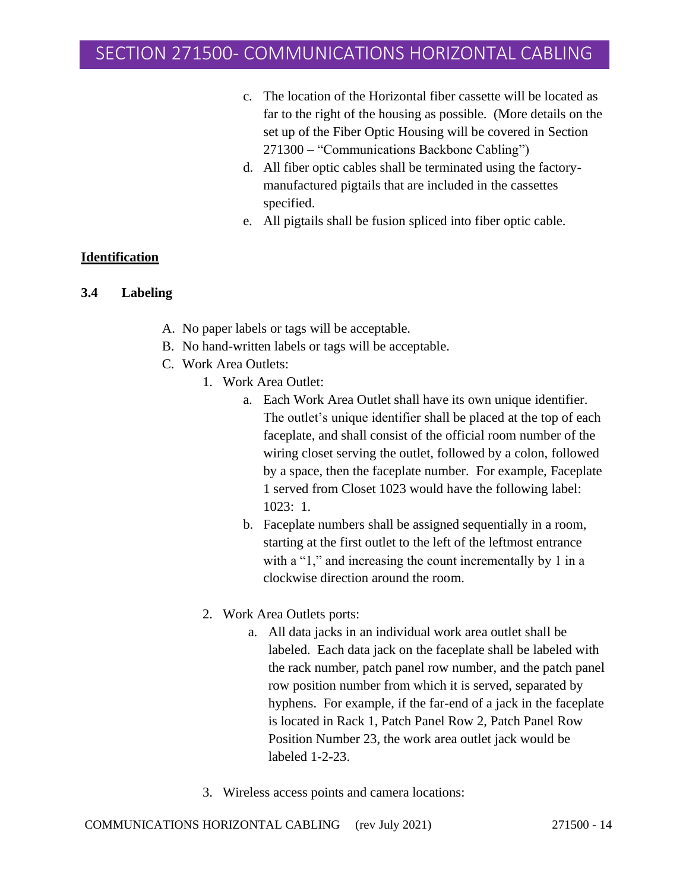- c. The location of the Horizontal fiber cassette will be located as far to the right of the housing as possible. (More details on the set up of the Fiber Optic Housing will be covered in Section 271300 – "Communications Backbone Cabling")
- d. All fiber optic cables shall be terminated using the factorymanufactured pigtails that are included in the cassettes specified.
- e. All pigtails shall be fusion spliced into fiber optic cable.

### **Identification**

### **3.4 Labeling**

- A. No paper labels or tags will be acceptable.
- B. No hand-written labels or tags will be acceptable.
- C. Work Area Outlets:
	- 1. Work Area Outlet:
		- a. Each Work Area Outlet shall have its own unique identifier. The outlet's unique identifier shall be placed at the top of each faceplate, and shall consist of the official room number of the wiring closet serving the outlet, followed by a colon, followed by a space, then the faceplate number. For example, Faceplate 1 served from Closet 1023 would have the following label: 1023: 1.
		- b. Faceplate numbers shall be assigned sequentially in a room, starting at the first outlet to the left of the leftmost entrance with a "1," and increasing the count incrementally by 1 in a clockwise direction around the room.
		- 2. Work Area Outlets ports:
			- a. All data jacks in an individual work area outlet shall be labeled. Each data jack on the faceplate shall be labeled with the rack number, patch panel row number, and the patch panel row position number from which it is served, separated by hyphens. For example, if the far-end of a jack in the faceplate is located in Rack 1, Patch Panel Row 2, Patch Panel Row Position Number 23, the work area outlet jack would be labeled 1-2-23.
		- 3. Wireless access points and camera locations: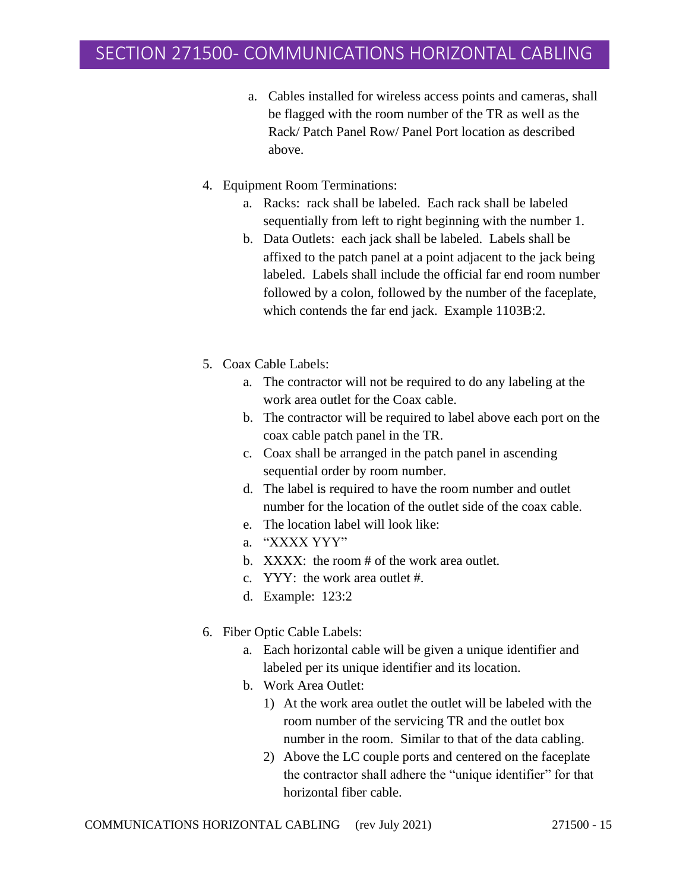- a. Cables installed for wireless access points and cameras, shall be flagged with the room number of the TR as well as the Rack/ Patch Panel Row/ Panel Port location as described above.
- 4. Equipment Room Terminations:
	- a. Racks: rack shall be labeled. Each rack shall be labeled sequentially from left to right beginning with the number 1.
	- b. Data Outlets: each jack shall be labeled. Labels shall be affixed to the patch panel at a point adjacent to the jack being labeled. Labels shall include the official far end room number followed by a colon, followed by the number of the faceplate, which contends the far end jack. Example 1103B:2.
- 5. Coax Cable Labels:
	- a. The contractor will not be required to do any labeling at the work area outlet for the Coax cable.
	- b. The contractor will be required to label above each port on the coax cable patch panel in the TR.
	- c. Coax shall be arranged in the patch panel in ascending sequential order by room number.
	- d. The label is required to have the room number and outlet number for the location of the outlet side of the coax cable.
	- e. The location label will look like:
	- a. "XXXX YYY"
	- b. XXXX: the room # of the work area outlet.
	- c. YYY: the work area outlet #.
	- d. Example: 123:2
- 6. Fiber Optic Cable Labels:
	- a. Each horizontal cable will be given a unique identifier and labeled per its unique identifier and its location.
	- b. Work Area Outlet:
		- 1) At the work area outlet the outlet will be labeled with the room number of the servicing TR and the outlet box number in the room. Similar to that of the data cabling.
		- 2) Above the LC couple ports and centered on the faceplate the contractor shall adhere the "unique identifier" for that horizontal fiber cable.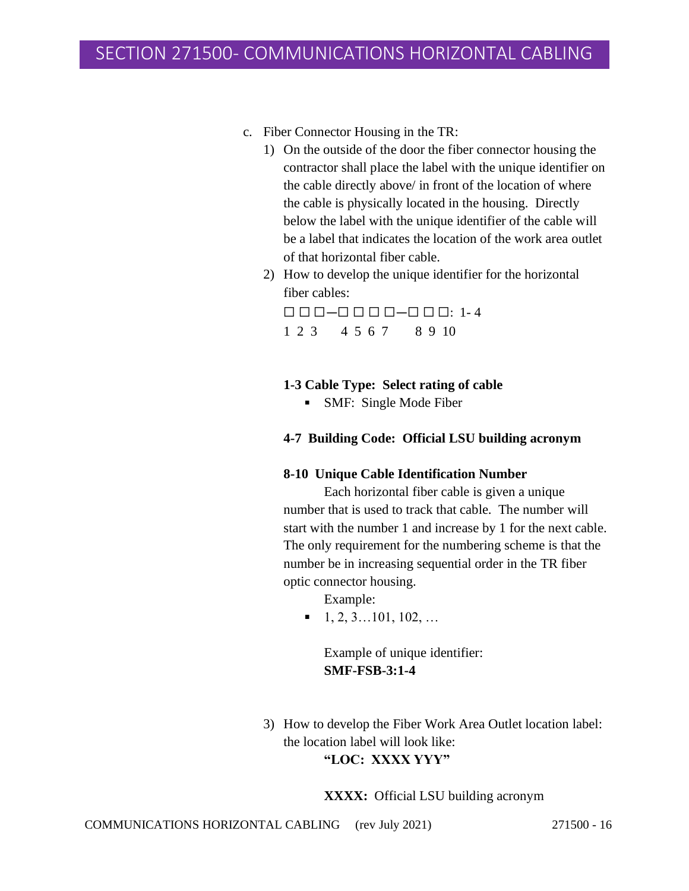- c. Fiber Connector Housing in the TR:
	- 1) On the outside of the door the fiber connector housing the contractor shall place the label with the unique identifier on the cable directly above/ in front of the location of where the cable is physically located in the housing. Directly below the label with the unique identifier of the cable will be a label that indicates the location of the work area outlet of that horizontal fiber cable.
	- 2) How to develop the unique identifier for the horizontal fiber cables:

 $\Box \Box \Box \Box - \Box \Box \Box \Box - \Box \Box \Box \Box \Box$ 1 2 3 4 5 6 7 8 9 10

### **1-3 Cable Type: Select rating of cable**

• SMF: Single Mode Fiber

#### **4-7 Building Code: Official LSU building acronym**

#### **8-10 Unique Cable Identification Number**

Each horizontal fiber cable is given a unique number that is used to track that cable. The number will start with the number 1 and increase by 1 for the next cable. The only requirement for the numbering scheme is that the number be in increasing sequential order in the TR fiber optic connector housing.

Example:

 $\blacksquare$  1, 2, 3...101, 102, ...

Example of unique identifier: **SMF-FSB-3:1-4**

3) How to develop the Fiber Work Area Outlet location label: the location label will look like: **"LOC: XXXX YYY"**

**XXXX:** Official LSU building acronym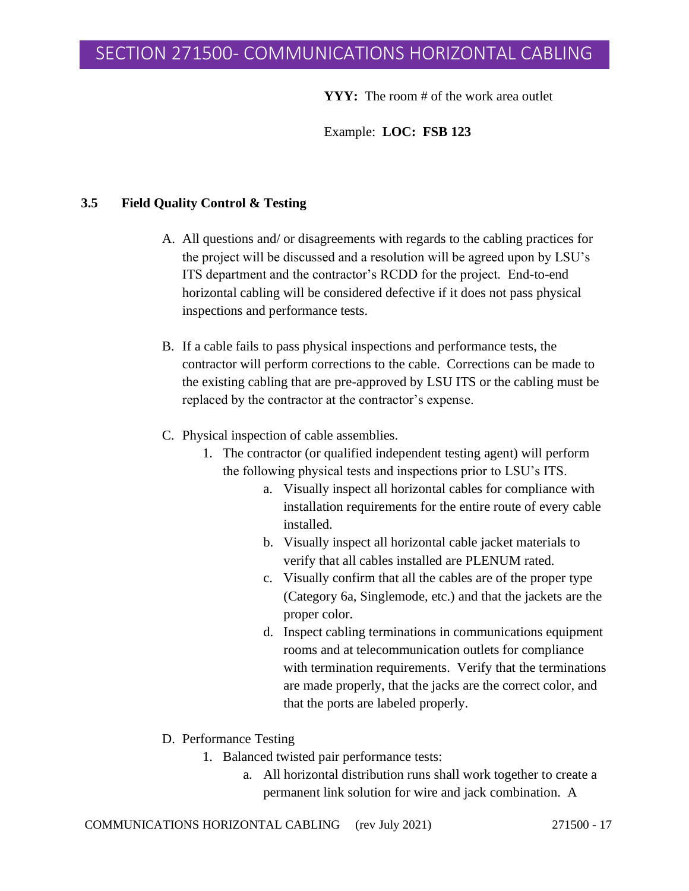**YYY:** The room # of the work area outlet

Example: **LOC: FSB 123**

#### **3.5 Field Quality Control & Testing**

- A. All questions and/ or disagreements with regards to the cabling practices for the project will be discussed and a resolution will be agreed upon by LSU's ITS department and the contractor's RCDD for the project. End-to-end horizontal cabling will be considered defective if it does not pass physical inspections and performance tests.
- B. If a cable fails to pass physical inspections and performance tests, the contractor will perform corrections to the cable. Corrections can be made to the existing cabling that are pre-approved by LSU ITS or the cabling must be replaced by the contractor at the contractor's expense.
- C. Physical inspection of cable assemblies.
	- 1. The contractor (or qualified independent testing agent) will perform the following physical tests and inspections prior to LSU's ITS.
		- a. Visually inspect all horizontal cables for compliance with installation requirements for the entire route of every cable installed.
		- b. Visually inspect all horizontal cable jacket materials to verify that all cables installed are PLENUM rated.
		- c. Visually confirm that all the cables are of the proper type (Category 6a, Singlemode, etc.) and that the jackets are the proper color.
		- d. Inspect cabling terminations in communications equipment rooms and at telecommunication outlets for compliance with termination requirements. Verify that the terminations are made properly, that the jacks are the correct color, and that the ports are labeled properly.
- D. Performance Testing
	- 1. Balanced twisted pair performance tests:
		- a. All horizontal distribution runs shall work together to create a permanent link solution for wire and jack combination. A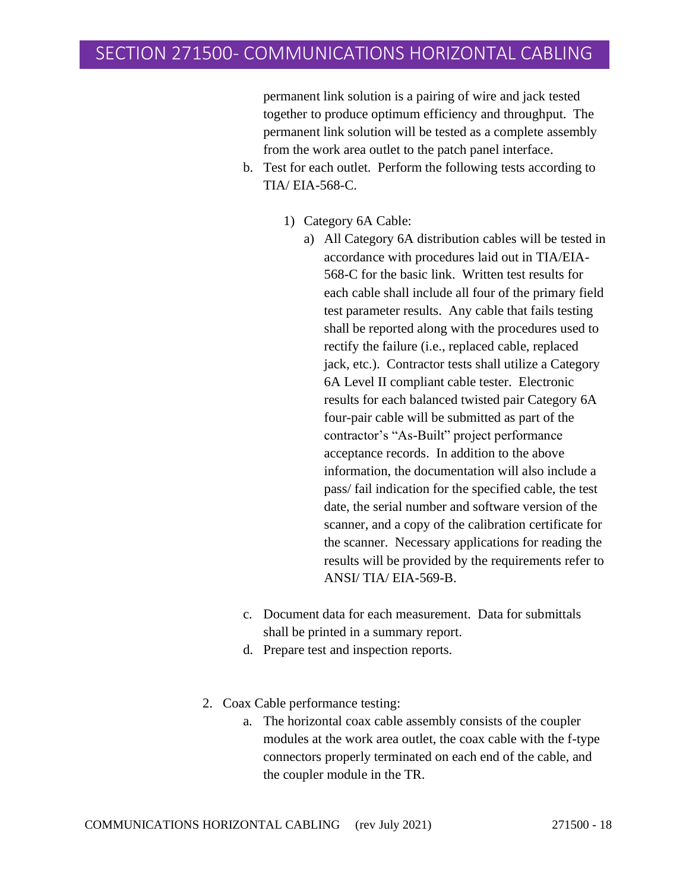permanent link solution is a pairing of wire and jack tested together to produce optimum efficiency and throughput. The permanent link solution will be tested as a complete assembly from the work area outlet to the patch panel interface.

- b. Test for each outlet. Perform the following tests according to TIA/ EIA-568-C.
	- 1) Category 6A Cable:
		- a) All Category 6A distribution cables will be tested in accordance with procedures laid out in TIA/EIA-568-C for the basic link. Written test results for each cable shall include all four of the primary field test parameter results. Any cable that fails testing shall be reported along with the procedures used to rectify the failure (i.e., replaced cable, replaced jack, etc.). Contractor tests shall utilize a Category 6A Level II compliant cable tester. Electronic results for each balanced twisted pair Category 6A four-pair cable will be submitted as part of the contractor's "As-Built" project performance acceptance records. In addition to the above information, the documentation will also include a pass/ fail indication for the specified cable, the test date, the serial number and software version of the scanner, and a copy of the calibration certificate for the scanner. Necessary applications for reading the results will be provided by the requirements refer to ANSI/ TIA/ EIA-569-B.
- c. Document data for each measurement. Data for submittals shall be printed in a summary report.
- d. Prepare test and inspection reports.
- 2. Coax Cable performance testing:
	- a. The horizontal coax cable assembly consists of the coupler modules at the work area outlet, the coax cable with the f-type connectors properly terminated on each end of the cable, and the coupler module in the TR.